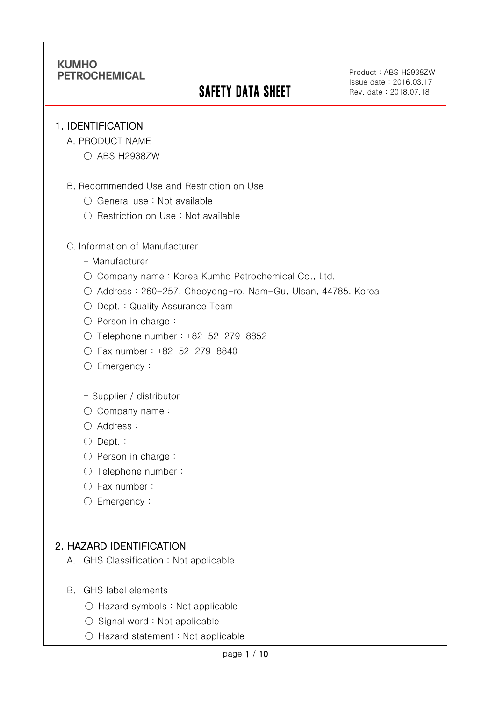# **SAFETY DATA SHEET**

#### 1. IDENTIFICATION

Ī

- A. PRODUCT NAME
	- ABS H2938ZW
- B. Recommended Use and Restriction on Use
	- General use : Not available
	- Restriction on Use : Not available

#### C. Information of Manufacturer

- Manufacturer
- Company name: Korea Kumho Petrochemical Co., Ltd.
- Address : 260-257, Cheoyong-ro, Nam-Gu, Ulsan, 44785, Korea
- Dept. : Quality Assurance Team
- Person in charge :
- Telephone number : +82-52-279-8852
- Fax number : +82-52-279-8840
- Emergency:

#### - Supplier / distributor

- Company name:
- Address :
- Dept. :
- Person in charge :
- Telephone number :
- Fax number :
- Emergency:

## 2. HAZARD IDENTIFICATION

- A. GHS Classification : Not applicable
- B. GHS label elements
	- Hazard symbols : Not applicable
	- $\bigcirc$  Signal word : Not applicable
	- Hazard statement : Not applicable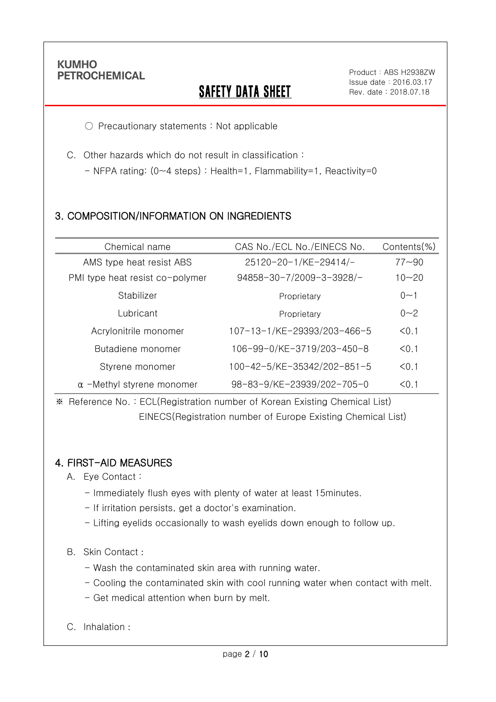Ī

# **SAFETY DATA SHEET**

○ Precautionary statements : Not applicable

C. Other hazards which do not result in classification :

- NFPA rating: (0~4 steps) : Health=1, Flammability=1, Reactivity=0

## 3. COMPOSITION/INFORMATION ON INGREDIENTS

| Chemical name                    | CAS No./ECL No./EINECS No.  | Contents(%) |
|----------------------------------|-----------------------------|-------------|
| AMS type heat resist ABS         | 25120-20-1/KE-29414/-       | $77 - 90$   |
| PMI type heat resist co-polymer  | 94858-30-7/2009-3-3928/-    | $10 - 20$   |
| Stabilizer                       | Proprietary                 | 0<1         |
| Lubricant                        | Proprietary                 | $0 - 2$     |
| Acrylonitrile monomer            | 107-13-1/KE-29393/203-466-5 | < 0.1       |
| Butadiene monomer                | 106-99-0/KE-3719/203-450-8  | < 0.1       |
| Styrene monomer                  | 100-42-5/KE-35342/202-851-5 | < 0.1       |
| $\alpha$ -Methyl styrene monomer | 98-83-9/KE-23939/202-705-0  | < 0.1       |

※ Reference No. : ECL(Registration number of Korean Existing Chemical List) EINECS(Registration number of Europe Existing Chemical List)

### 4. FIRST-AID MEASURES

- A. Eye Contact :
	- Immediately flush eyes with plenty of water at least 15minutes.
	- If irritation persists, get a doctor's examination.
	- Lifting eyelids occasionally to wash eyelids down enough to follow up.

#### B. Skin Contact :

- Wash the contaminated skin area with running water.
- Cooling the contaminated skin with cool running water when contact with melt.
- Get medical attention when burn by melt.
- C. Inhalation :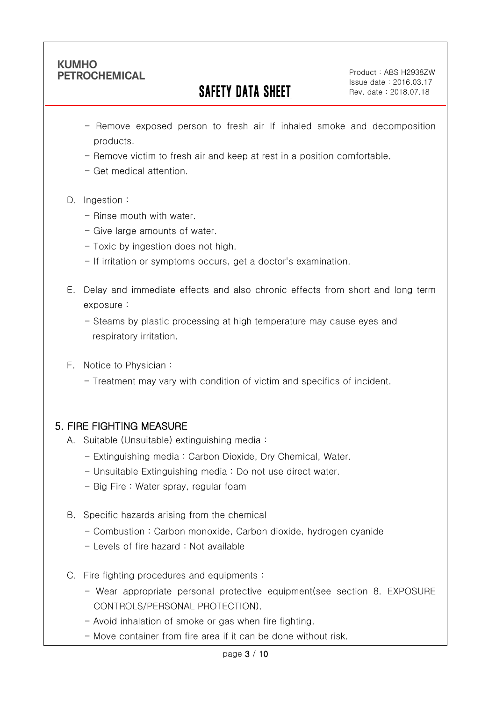Ī

## SAFETY DATA SHEET

Product: ABS H2938ZW Issue date:2016.03.17 Rev. date : 2018.07.18

- Remove exposed person to fresh air If inhaled smoke and decomposition products.
- Remove victim to fresh air and keep at rest in a position comfortable.
- Get medical attention.
- D. Ingestion:
	- Rinse mouth with water
	- Give large amounts of water.
	- Toxic by ingestion does not high.
	- If irritation or symptoms occurs, get a doctor's examination.
- E. Delay and immediate effects and also chronic effects from short and long term exposure :
	- Steams by plastic processing at high temperature may cause eyes and respiratory irritation.
- F. Notice to Physician :
	- Treatment may vary with condition of victim and specifics of incident.

## 5. FIRE FIGHTING MEASURE

- A. Suitable (Unsuitable) extinguishing media :
	- Extinguishing media : Carbon Dioxide, Dry Chemical, Water.
	- Unsuitable Extinguishing media : Do not use direct water.
	- Big Fire : Water spray, regular foam
- B. Specific hazards arising from the chemical
	- Combustion : Carbon monoxide, Carbon dioxide, hydrogen cyanide
	- Levels of fire hazard : Not available
- C. Fire fighting procedures and equipments :
	- Wear appropriate personal protective equipment(see section 8. EXPOSURE CONTROLS/PERSONAL PROTECTION).
	- Avoid inhalation of smoke or gas when fire fighting.
	- Move container from fire area if it can be done without risk.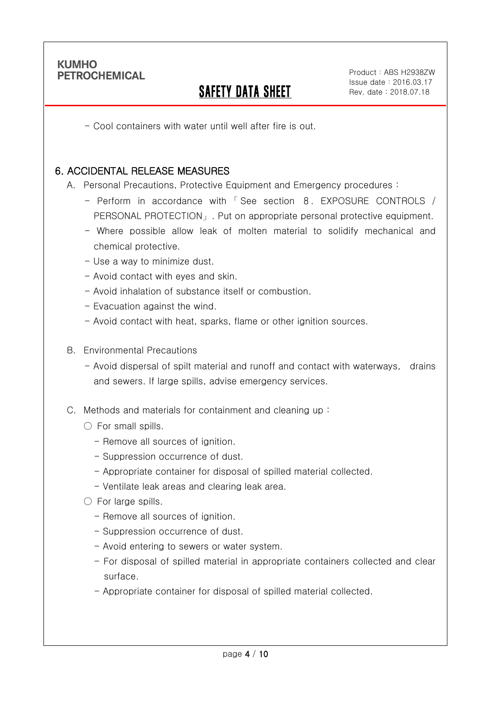Ī

## SAFETY DATA SHEET

- Cool containers with water until well after fire is out.

#### 6. ACCIDENTAL RELEASE MEASURES

A. Personal Precautions, Protective Equipment and Emergency procedures :

- Perform in accordance with 「 See section 8. EXPOSURE CONTROLS / PERSONAL PROTECTION」. Put on appropriate personal protective equipment.
- Where possible allow leak of molten material to solidify mechanical and chemical protective.
- Use a way to minimize dust.
- Avoid contact with eyes and skin.
- Avoid inhalation of substance itself or combustion.
- Evacuation against the wind.
- Avoid contact with heat, sparks, flame or other ignition sources.
- B. Environmental Precautions
	- Avoid dispersal of spilt material and runoff and contact with waterways, drains and sewers. If large spills, advise emergency services.
- C. Methods and materials for containment and cleaning up :
	- $\bigcirc$  For small spills.
		- Remove all sources of ignition.
		- Suppression occurrence of dust.
		- Appropriate container for disposal of spilled material collected.
		- Ventilate leak areas and clearing leak area.
	- For large spills.
		- Remove all sources of ignition.
		- Suppression occurrence of dust.
		- Avoid entering to sewers or water system.
		- For disposal of spilled material in appropriate containers collected and clear surface.
		- Appropriate container for disposal of spilled material collected.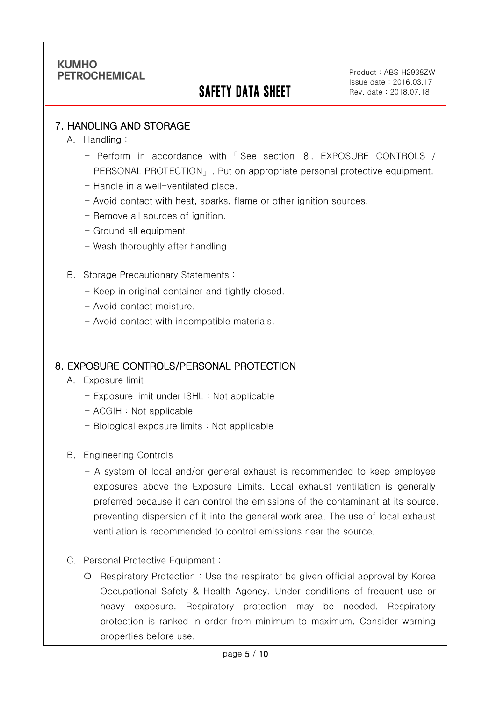## SAFETY DATA SHEET

### 7. HANDLING AND STORAGE

A. Handling :

Ī

- Perform in accordance with 「 See section 8. EXPOSURE CONTROLS / PERSONAL PROTECTION」. Put on appropriate personal protective equipment.
- Handle in a well-ventilated place.
- Avoid contact with heat, sparks, flame or other ignition sources.
- Remove all sources of ignition.
- Ground all equipment.
- Wash thoroughly after handling
- B. Storage Precautionary Statements :
	- Keep in original container and tightly closed.
	- Avoid contact moisture.
	- Avoid contact with incompatible materials.

#### 8. EXPOSURE CONTROLS/PERSONAL PROTECTION

- A. Exposure limit
	- Exposure limit under ISHL : Not applicable
	- ACGIH : Not applicable
	- Biological exposure limits : Not applicable
- B. Engineering Controls
	- A system of local and/or general exhaust is recommended to keep employee exposures above the Exposure Limits. Local exhaust ventilation is generally preferred because it can control the emissions of the contaminant at its source, preventing dispersion of it into the general work area. The use of local exhaust ventilation is recommended to control emissions near the source.
- C. Personal Protective Equipment :
	- Respiratory Protection : Use the respirator be given official approval by Korea Occupational Safety & Health Agency. Under conditions of frequent use or heavy exposure, Respiratory protection may be needed. Respiratory protection is ranked in order from minimum to maximum. Consider warning properties before use.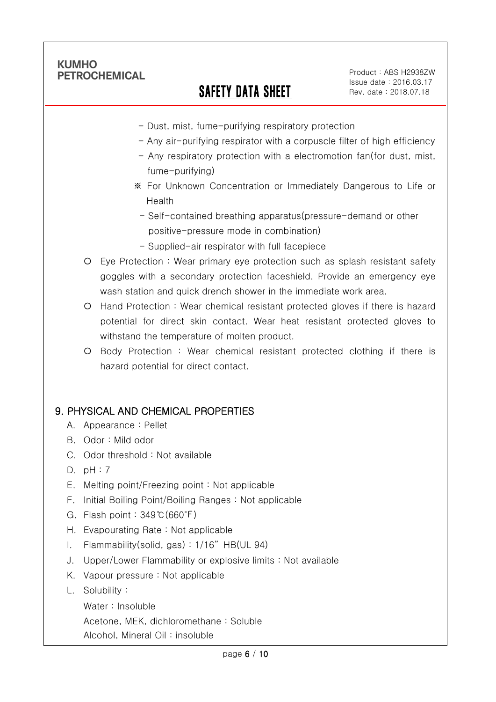Ī

# SAFETY DATA SHEET

Product: ABS H2938ZW Issue date:2016.03.17 Rev. date : 2018.07.18

- Dust, mist, fume-purifying respiratory protection
- Any air-purifying respirator with a corpuscle filter of high efficiency
- Any respiratory protection with a electromotion fan(for dust, mist, fume-purifying)
- ※ For Unknown Concentration or Immediately Dangerous to Life or Health
- Self-contained breathing apparatus(pressure-demand or other positive-pressure mode in combination)
- Supplied-air respirator with full facepiece
- Eye Protection : Wear primary eye protection such as splash resistant safety goggles with a secondary protection faceshield. Provide an emergency eye wash station and quick drench shower in the immediate work area.
- Hand Protection : Wear chemical resistant protected gloves if there is hazard potential for direct skin contact. Wear heat resistant protected gloves to withstand the temperature of molten product.
- Body Protection : Wear chemical resistant protected clothing if there is hazard potential for direct contact.

### 9. PHYSICAL AND CHEMICAL PROPERTIES

- A. Appearance : Pellet
- B. Odor : Mild odor
- C. Odor threshold : Not available
- D. pH : 7
- E. Melting point/Freezing point : Not applicable
- F. Initial Boiling Point/Boiling Ranges : Not applicable
- G. Flash point : 349℃(660℉)
- H. Evapourating Rate : Not applicable
- I. Flammability(solid, gas) : 1/16" HB(UL 94)
- J. Upper/Lower Flammability or explosive limits : Not available
- K. Vapour pressure : Not applicable
- L. Solubility :
	- Water : Insoluble

Acetone, MEK, dichloromethane : Soluble

Alcohol, Mineral Oil : insoluble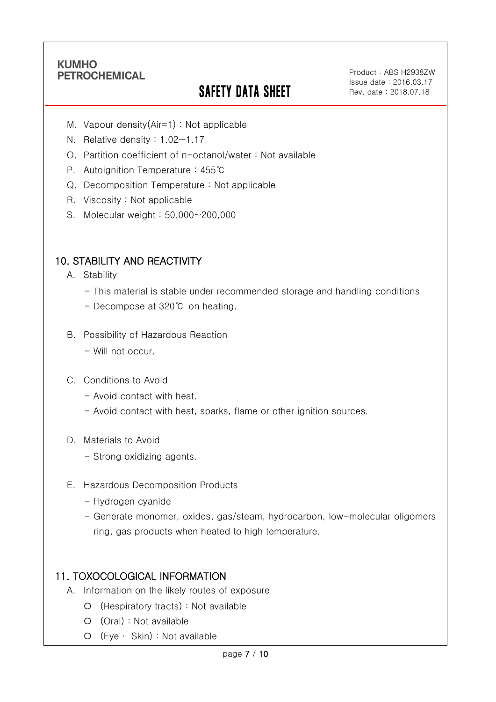Ī

# **SAFETY DATA SHEET**

- M. Vapour density(Air=1) : Not applicable
- N. Relative density : 1.02~1.17
- O. Partition coefficient of n-octanol/water : Not available
- P. Autoignition Temperature : 455℃
- Q. Decomposition Temperature : Not applicable
- R. Viscosity : Not applicable
- S. Molecular weight : 50,000~200,000

### 10. STABILITY AND REACTIVITY

- A. Stability
	- This material is stable under recommended storage and handling conditions
	- Decompose at 320℃ on heating.
- B. Possibility of Hazardous Reaction
	- Will not occur.
- C. Conditions to Avoid
	- Avoid contact with heat.
	- Avoid contact with heat, sparks, flame or other ignition sources.
- D. Materials to Avoid
	- Strong oxidizing agents.
- E. Hazardous Decomposition Products
	- Hydrogen cyanide
	- Generate monomer, oxides, gas/steam, hydrocarbon, low-molecular oligomers ring, gas products when heated to high temperature.

### 11. TOXOCOLOGICAL INFORMATION

- A. Information on the likely routes of exposure
	- (Respiratory tracts) : Not available
	- (Oral) : Not available
	- (Eye ∙ Skin) : Not available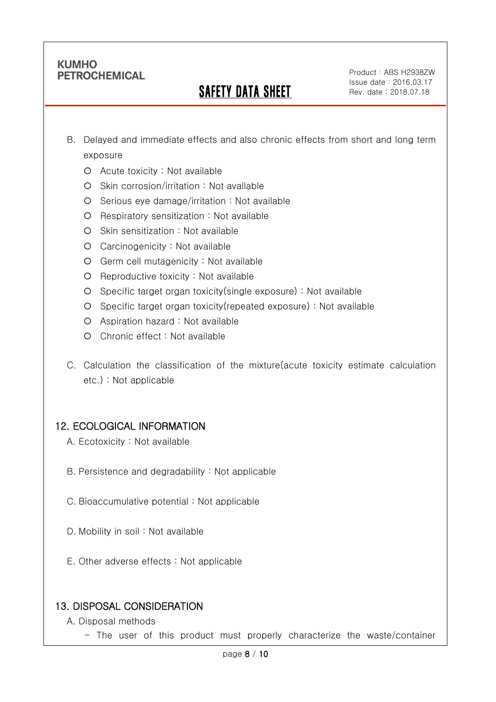Ī

## SAFETY DATA SHEET

- B. Delayed and immediate effects and also chronic effects from short and long term exposure
	- Acute toxicity : Not available
	- O Skin corrosion/irritation : Not available
	- $O$  Serious eye damage/irritation : Not available
	- O Respiratory sensitization : Not available
	- O Skin sensitization : Not available
	- Carcinogenicity : Not available
	- Germ cell mutagenicity : Not available
	- $O$  Reproductive toxicity : Not available
	- Specific target organ toxicity(single exposure) : Not available
	- Specific target organ toxicity(repeated exposure) : Not available
	- Aspiration hazard : Not available
	- Chronic effect : Not available
- C. Calculation the classification of the mixture(acute toxicity estimate calculation etc.) : Not applicable

## 12. ECOLOGICAL INFORMATION

- A. Ecotoxicity : Not available
- B. Persistence and degradability : Not applicable
- C. Bioaccumulative potential : Not applicable
- D. Mobility in soil : Not available
- E. Other adverse effects : Not applicable

## 13. DISPOSAL CONSIDERATION

- A. Disposal methods
	- The user of this product must properly characterize the waste/container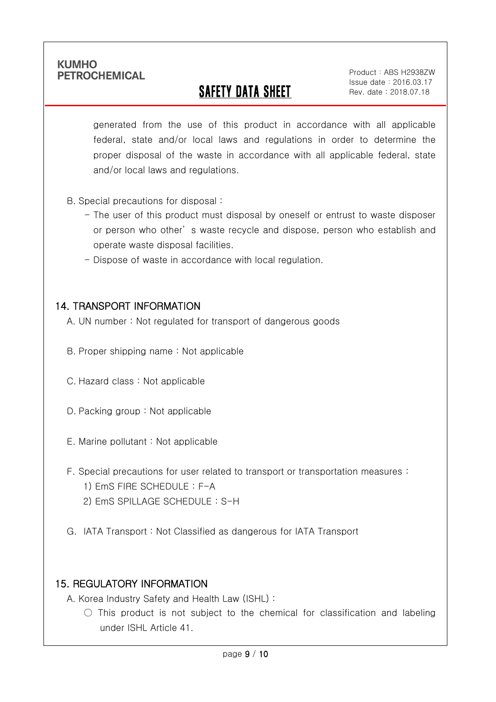Ī

# SAFETY DATA SHEET

Product: ABS H2938ZW Issue date:2016.03.17 Rev. date : 2018.07.18

generated from the use of this product in accordance with all applicable federal, state and/or local laws and regulations in order to determine the proper disposal of the waste in accordance with all applicable federal, state and/or local laws and regulations.

- B. Special precautions for disposal :
	- The user of this product must disposal by oneself or entrust to waste disposer or person who other' s waste recycle and dispose, person who establish and operate waste disposal facilities.
	- Dispose of waste in accordance with local regulation.

#### 14. TRANSPORT INFORMATION

- A. UN number : Not regulated for transport of dangerous goods
- B. Proper shipping name : Not applicable
- C. Hazard class : Not applicable
- D. Packing group : Not applicable
- E. Marine pollutant : Not applicable
- F. Special precautions for user related to transport or transportation measures :
	- 1) EmS FIRE SCHEDULE : F-A
	- 2) EmS SPILLAGE SCHEDULE : S-H
- G. IATA Transport : Not Classified as dangerous for IATA Transport

### 15. REGULATORY INFORMATION

A. Korea Industry Safety and Health Law (ISHL) :

 $\bigcirc$  This product is not subject to the chemical for classification and labeling under ISHL Article 41.